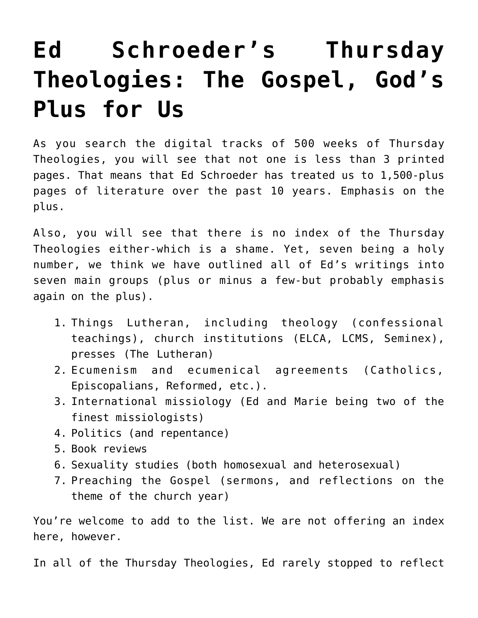# **[Ed Schroeder's Thursday](https://crossings.org/ed-schroeders-thursday-theologies-the-gospel-gods-plus-for-us/) [Theologies: The Gospel, God's](https://crossings.org/ed-schroeders-thursday-theologies-the-gospel-gods-plus-for-us/) [Plus for Us](https://crossings.org/ed-schroeders-thursday-theologies-the-gospel-gods-plus-for-us/)**

As you search the digital tracks of 500 weeks of Thursday Theologies, you will see that not one is less than 3 printed pages. That means that Ed Schroeder has treated us to 1,500-plus pages of literature over the past 10 years. Emphasis on the plus.

Also, you will see that there is no index of the Thursday Theologies either-which is a shame. Yet, seven being a holy number, we think we have outlined all of Ed's writings into seven main groups (plus or minus a few-but probably emphasis again on the plus).

- 1. Things Lutheran, including theology (confessional teachings), church institutions (ELCA, LCMS, Seminex), presses (The Lutheran)
- 2. Ecumenism and ecumenical agreements (Catholics, Episcopalians, Reformed, etc.).
- 3. International missiology (Ed and Marie being two of the finest missiologists)
- 4. Politics (and repentance)
- 5. Book reviews
- 6. Sexuality studies (both homosexual and heterosexual)
- 7. Preaching the Gospel (sermons, and reflections on the theme of the church year)

You're welcome to add to the list. We are not offering an index here, however.

In all of the Thursday Theologies, Ed rarely stopped to reflect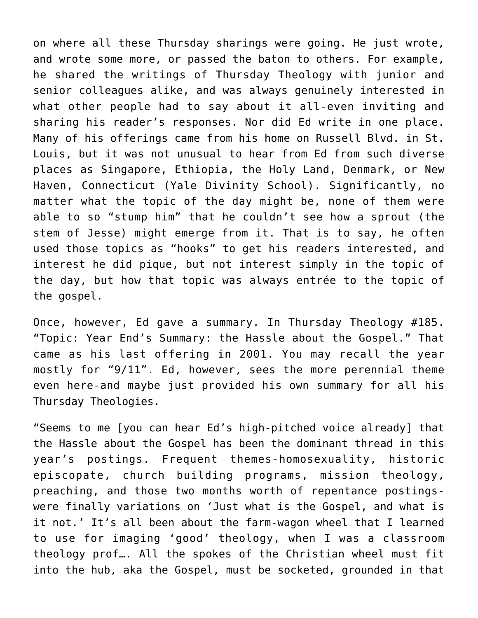on where all these Thursday sharings were going. He just wrote, and wrote some more, or passed the baton to others. For example, he shared the writings of Thursday Theology with junior and senior colleagues alike, and was always genuinely interested in what other people had to say about it all-even inviting and sharing his reader's responses. Nor did Ed write in one place. Many of his offerings came from his home on Russell Blvd. in St. Louis, but it was not unusual to hear from Ed from such diverse places as Singapore, Ethiopia, the Holy Land, Denmark, or New Haven, Connecticut (Yale Divinity School). Significantly, no matter what the topic of the day might be, none of them were able to so "stump him" that he couldn't see how a sprout (the stem of Jesse) might emerge from it. That is to say, he often used those topics as "hooks" to get his readers interested, and interest he did pique, but not interest simply in the topic of the day, but how that topic was always entrée to the topic of the gospel.

Once, however, Ed gave a summary. In Thursday Theology #185. "Topic: Year End's Summary: the Hassle about the Gospel." That came as his last offering in 2001. You may recall the year mostly for "9/11". Ed, however, sees the more perennial theme even here-and maybe just provided his own summary for all his Thursday Theologies.

"Seems to me [you can hear Ed's high-pitched voice already] that the Hassle about the Gospel has been the dominant thread in this year's postings. Frequent themes-homosexuality, historic episcopate, church building programs, mission theology, preaching, and those two months worth of repentance postingswere finally variations on 'Just what is the Gospel, and what is it not.' It's all been about the farm-wagon wheel that I learned to use for imaging 'good' theology, when I was a classroom theology prof…. All the spokes of the Christian wheel must fit into the hub, aka the Gospel, must be socketed, grounded in that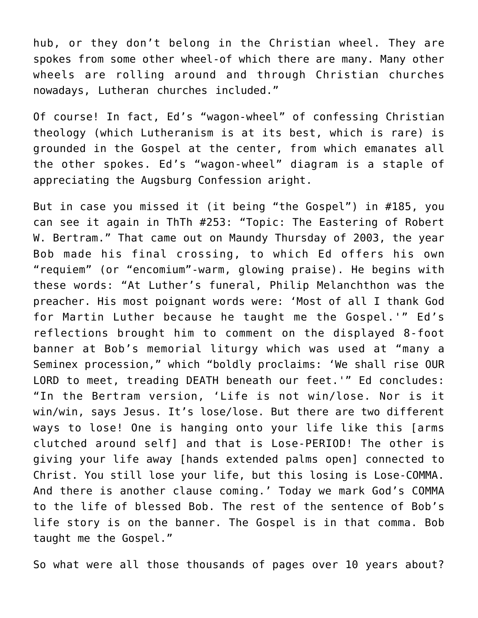hub, or they don't belong in the Christian wheel. They are spokes from some other wheel-of which there are many. Many other wheels are rolling around and through Christian churches nowadays, Lutheran churches included."

Of course! In fact, Ed's "wagon-wheel" of confessing Christian theology (which Lutheranism is at its best, which is rare) is grounded in the Gospel at the center, from which emanates all the other spokes. Ed's "wagon-wheel" diagram is a staple of appreciating the Augsburg Confession aright.

But in case you missed it (it being "the Gospel") in #185, you can see it again in ThTh #253: "Topic: The Eastering of Robert W. Bertram." That came out on Maundy Thursday of 2003, the year Bob made his final crossing, to which Ed offers his own "requiem" (or "encomium"-warm, glowing praise). He begins with these words: "At Luther's funeral, Philip Melanchthon was the preacher. His most poignant words were: 'Most of all I thank God for Martin Luther because he taught me the Gospel.'" Ed's reflections brought him to comment on the displayed 8-foot banner at Bob's memorial liturgy which was used at "many a Seminex procession," which "boldly proclaims: 'We shall rise OUR LORD to meet, treading DEATH beneath our feet.'" Ed concludes: "In the Bertram version, 'Life is not win/lose. Nor is it win/win, says Jesus. It's lose/lose. But there are two different ways to lose! One is hanging onto your life like this [arms clutched around self] and that is Lose-PERIOD! The other is giving your life away [hands extended palms open] connected to Christ. You still lose your life, but this losing is Lose-COMMA. And there is another clause coming.' Today we mark God's COMMA to the life of blessed Bob. The rest of the sentence of Bob's life story is on the banner. The Gospel is in that comma. Bob taught me the Gospel."

So what were all those thousands of pages over 10 years about?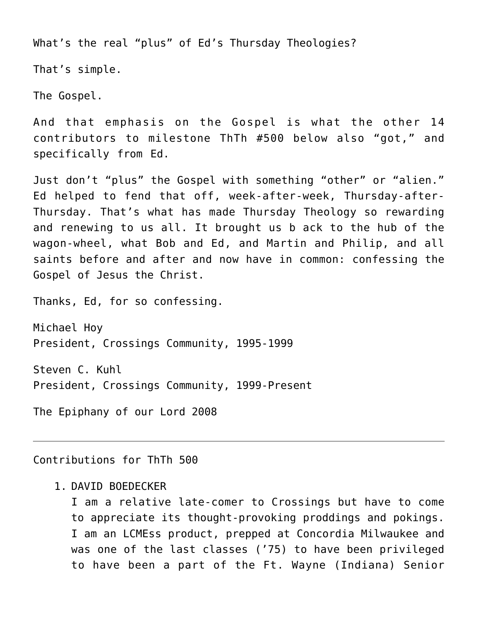What's the real "plus" of Ed's Thursday Theologies?

That's simple.

The Gospel.

And that emphasis on the Gospel is what the other 14 contributors to milestone ThTh #500 below also "got," and specifically from Ed.

Just don't "plus" the Gospel with something "other" or "alien." Ed helped to fend that off, week-after-week, Thursday-after-Thursday. That's what has made Thursday Theology so rewarding and renewing to us all. It brought us b ack to the hub of the wagon-wheel, what Bob and Ed, and Martin and Philip, and all saints before and after and now have in common: confessing the Gospel of Jesus the Christ.

Thanks, Ed, for so confessing.

Michael Hoy President, Crossings Community, 1995-1999

Steven C. Kuhl President, Crossings Community, 1999-Present

The Epiphany of our Lord 2008

Contributions for ThTh 500

#### 1. DAVID BOEDECKER

I am a relative late-comer to Crossings but have to come to appreciate its thought-provoking proddings and pokings. I am an LCMEss product, prepped at Concordia Milwaukee and was one of the last classes ('75) to have been privileged to have been a part of the Ft. Wayne (Indiana) Senior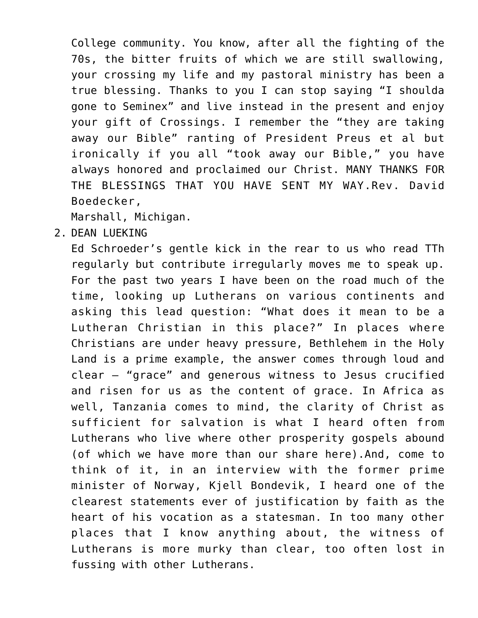College community. You know, after all the fighting of the 70s, the bitter fruits of which we are still swallowing, your crossing my life and my pastoral ministry has been a true blessing. Thanks to you I can stop saying "I shoulda gone to Seminex" and live instead in the present and enjoy your gift of Crossings. I remember the "they are taking away our Bible" ranting of President Preus et al but ironically if you all "took away our Bible," you have always honored and proclaimed our Christ. MANY THANKS FOR THE BLESSINGS THAT YOU HAVE SENT MY WAY.Rev. David Boedecker,

Marshall, Michigan.

2. DEAN LUEKING

Ed Schroeder's gentle kick in the rear to us who read TTh regularly but contribute irregularly moves me to speak up. For the past two years I have been on the road much of the time, looking up Lutherans on various continents and asking this lead question: "What does it mean to be a Lutheran Christian in this place?" In places where Christians are under heavy pressure, Bethlehem in the Holy Land is a prime example, the answer comes through loud and clear – "grace" and generous witness to Jesus crucified and risen for us as the content of grace. In Africa as well, Tanzania comes to mind, the clarity of Christ as sufficient for salvation is what I heard often from Lutherans who live where other prosperity gospels abound (of which we have more than our share here).And, come to think of it, in an interview with the former prime minister of Norway, Kjell Bondevik, I heard one of the clearest statements ever of justification by faith as the heart of his vocation as a statesman. In too many other places that I know anything about, the witness of Lutherans is more murky than clear, too often lost in fussing with other Lutherans.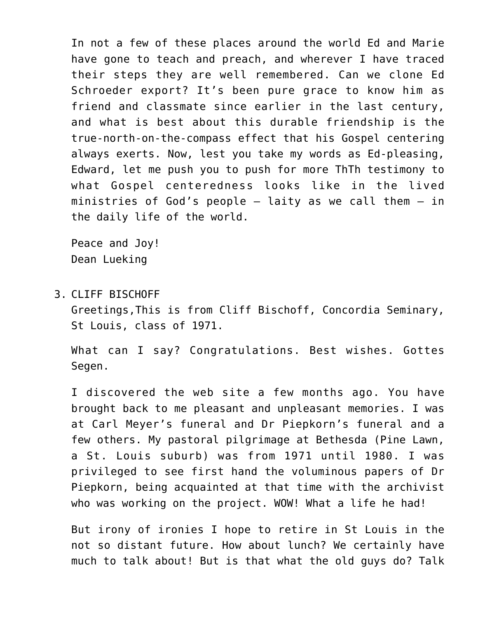In not a few of these places around the world Ed and Marie have gone to teach and preach, and wherever I have traced their steps they are well remembered. Can we clone Ed Schroeder export? It's been pure grace to know him as friend and classmate since earlier in the last century, and what is best about this durable friendship is the true-north-on-the-compass effect that his Gospel centering always exerts. Now, lest you take my words as Ed-pleasing, Edward, let me push you to push for more ThTh testimony to what Gospel centeredness looks like in the lived ministries of God's people  $-$  laity as we call them  $-$  in the daily life of the world.

Peace and Joy! Dean Lueking

3. CLIFF BISCHOFF

Greetings,This is from Cliff Bischoff, Concordia Seminary, St Louis, class of 1971.

What can I say? Congratulations. Best wishes. Gottes Segen.

I discovered the web site a few months ago. You have brought back to me pleasant and unpleasant memories. I was at Carl Meyer's funeral and Dr Piepkorn's funeral and a few others. My pastoral pilgrimage at Bethesda (Pine Lawn, a St. Louis suburb) was from 1971 until 1980. I was privileged to see first hand the voluminous papers of Dr Piepkorn, being acquainted at that time with the archivist who was working on the project. WOW! What a life he had!

But irony of ironies I hope to retire in St Louis in the not so distant future. How about lunch? We certainly have much to talk about! But is that what the old guys do? Talk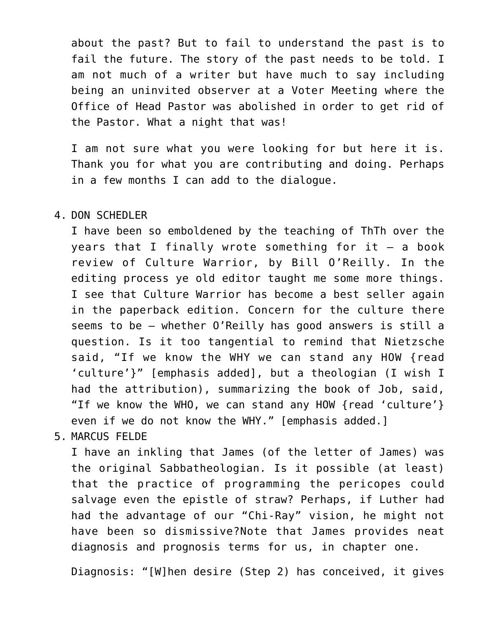about the past? But to fail to understand the past is to fail the future. The story of the past needs to be told. I am not much of a writer but have much to say including being an uninvited observer at a Voter Meeting where the Office of Head Pastor was abolished in order to get rid of the Pastor. What a night that was!

I am not sure what you were looking for but here it is. Thank you for what you are contributing and doing. Perhaps in a few months I can add to the dialogue.

#### 4. DON SCHEDLER

I have been so emboldened by the teaching of ThTh over the years that I finally wrote something for it  $-$  a book review of Culture Warrior, by Bill O'Reilly. In the editing process ye old editor taught me some more things. I see that Culture Warrior has become a best seller again in the paperback edition. Concern for the culture there seems to be — whether O'Reilly has good answers is still a question. Is it too tangential to remind that Nietzsche said, "If we know the WHY we can stand any HOW {read 'culture'}" [emphasis added], but a theologian (I wish I had the attribution), summarizing the book of Job, said, "If we know the WHO, we can stand any HOW {read 'culture'} even if we do not know the WHY." [emphasis added.]

### 5. MARCUS FELDE

I have an inkling that James (of the letter of James) was the original Sabbatheologian. Is it possible (at least) that the practice of programming the pericopes could salvage even the epistle of straw? Perhaps, if Luther had had the advantage of our "Chi-Ray" vision, he might not have been so dismissive?Note that James provides neat diagnosis and prognosis terms for us, in chapter one.

Diagnosis: "[W]hen desire (Step 2) has conceived, it gives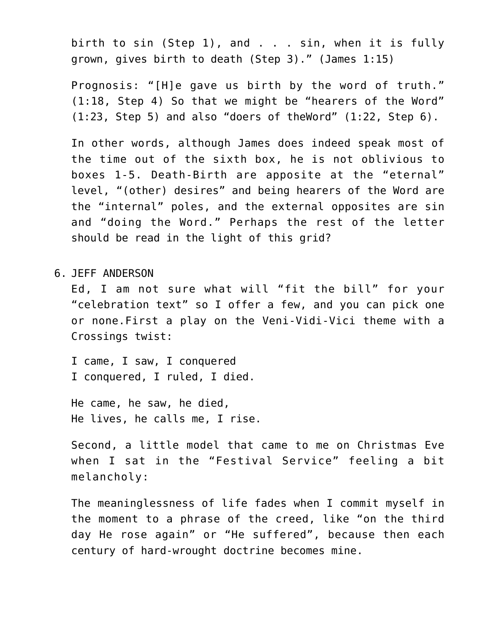birth to sin (Step 1), and . . . sin, when it is fully grown, gives birth to death (Step 3)." (James 1:15)

Prognosis: "[H]e gave us birth by the word of truth." (1:18, Step 4) So that we might be "hearers of the Word" (1:23, Step 5) and also "doers of theWord" (1:22, Step 6).

In other words, although James does indeed speak most of the time out of the sixth box, he is not oblivious to boxes 1-5. Death-Birth are apposite at the "eternal" level, "(other) desires" and being hearers of the Word are the "internal" poles, and the external opposites are sin and "doing the Word." Perhaps the rest of the letter should be read in the light of this grid?

6. JEFF ANDERSON

Ed, I am not sure what will "fit the bill" for your "celebration text" so I offer a few, and you can pick one or none.First a play on the Veni-Vidi-Vici theme with a Crossings twist:

I came, I saw, I conquered I conquered, I ruled, I died.

He came, he saw, he died, He lives, he calls me, I rise.

Second, a little model that came to me on Christmas Eve when I sat in the "Festival Service" feeling a bit melancholy:

The meaninglessness of life fades when I commit myself in the moment to a phrase of the creed, like "on the third day He rose again" or "He suffered", because then each century of hard-wrought doctrine becomes mine.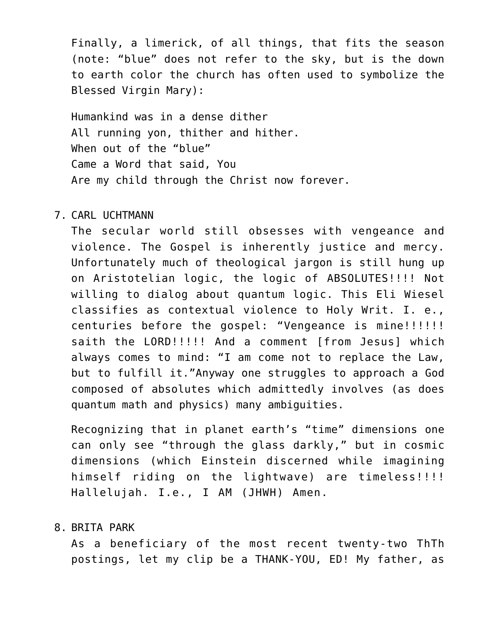Finally, a limerick, of all things, that fits the season (note: "blue" does not refer to the sky, but is the down to earth color the church has often used to symbolize the Blessed Virgin Mary):

Humankind was in a dense dither All running yon, thither and hither. When out of the "blue" Came a Word that said, You Are my child through the Christ now forever.

#### 7. CARL UCHTMANN

The secular world still obsesses with vengeance and violence. The Gospel is inherently justice and mercy. Unfortunately much of theological jargon is still hung up on Aristotelian logic, the logic of ABSOLUTES!!!! Not willing to dialog about quantum logic. This Eli Wiesel classifies as contextual violence to Holy Writ. I. e., centuries before the gospel: "Vengeance is mine!!!!!! saith the LORD!!!!! And a comment [from Jesus] which always comes to mind: "I am come not to replace the Law, but to fulfill it."Anyway one struggles to approach a God composed of absolutes which admittedly involves (as does quantum math and physics) many ambiguities.

Recognizing that in planet earth's "time" dimensions one can only see "through the glass darkly," but in cosmic dimensions (which Einstein discerned while imagining himself riding on the lightwave) are timeless!!!! Hallelujah. I.e., I AM (JHWH) Amen.

#### 8. BRITA PARK

As a beneficiary of the most recent twenty-two ThTh postings, let my clip be a THANK-YOU, ED! My father, as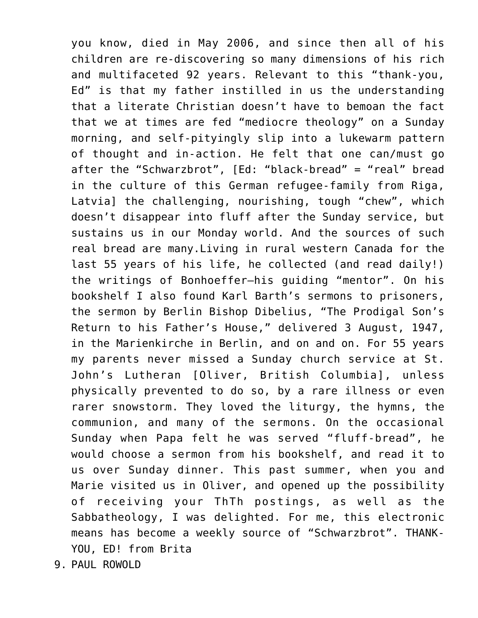you know, died in May 2006, and since then all of his children are re-discovering so many dimensions of his rich and multifaceted 92 years. Relevant to this "thank-you, Ed" is that my father instilled in us the understanding that a literate Christian doesn't have to bemoan the fact that we at times are fed "mediocre theology" on a Sunday morning, and self-pityingly slip into a lukewarm pattern of thought and in-action. He felt that one can/must go after the "Schwarzbrot", [Ed: "black-bread" = "real" bread in the culture of this German refugee-family from Riga, Latvia] the challenging, nourishing, tough "chew", which doesn't disappear into fluff after the Sunday service, but sustains us in our Monday world. And the sources of such real bread are many.Living in rural western Canada for the last 55 years of his life, he collected (and read daily!) the writings of Bonhoeffer–his guiding "mentor". On his bookshelf I also found Karl Barth's sermons to prisoners, the sermon by Berlin Bishop Dibelius, "The Prodigal Son's Return to his Father's House," delivered 3 August, 1947, in the Marienkirche in Berlin, and on and on. For 55 years my parents never missed a Sunday church service at St. John's Lutheran [Oliver, British Columbia], unless physically prevented to do so, by a rare illness or even rarer snowstorm. They loved the liturgy, the hymns, the communion, and many of the sermons. On the occasional Sunday when Papa felt he was served "fluff-bread", he would choose a sermon from his bookshelf, and read it to us over Sunday dinner. This past summer, when you and Marie visited us in Oliver, and opened up the possibility of receiving your ThTh postings, as well as the Sabbatheology, I was delighted. For me, this electronic means has become a weekly source of "Schwarzbrot". THANK-YOU, ED! from Brita

9. PAUL ROWOLD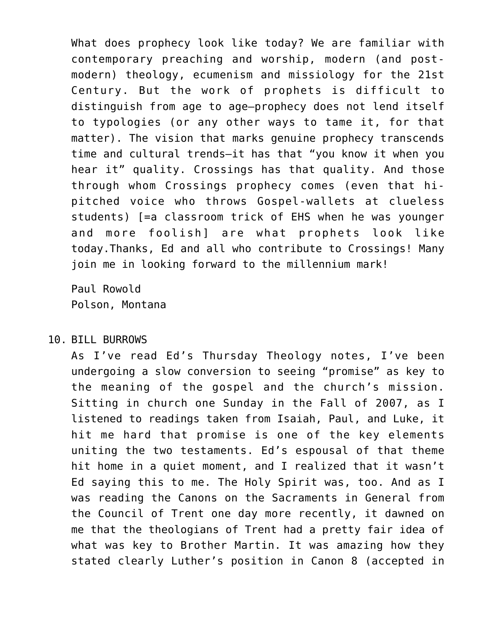What does prophecy look like today? We are familiar with contemporary preaching and worship, modern (and postmodern) theology, ecumenism and missiology for the 21st Century. But the work of prophets is difficult to distinguish from age to age–prophecy does not lend itself to typologies (or any other ways to tame it, for that matter). The vision that marks genuine prophecy transcends time and cultural trends–it has that "you know it when you hear it" quality. Crossings has that quality. And those through whom Crossings prophecy comes (even that hipitched voice who throws Gospel-wallets at clueless students) [=a classroom trick of EHS when he was younger and more foolish] are what prophets look like today.Thanks, Ed and all who contribute to Crossings! Many join me in looking forward to the millennium mark!

Paul Rowold Polson, Montana

## 10. BILL BURROWS

As I've read Ed's Thursday Theology notes, I've been undergoing a slow conversion to seeing "promise" as key to the meaning of the gospel and the church's mission. Sitting in church one Sunday in the Fall of 2007, as I listened to readings taken from Isaiah, Paul, and Luke, it hit me hard that promise is one of the key elements uniting the two testaments. Ed's espousal of that theme hit home in a quiet moment, and I realized that it wasn't Ed saying this to me. The Holy Spirit was, too. And as I was reading the Canons on the Sacraments in General from the Council of Trent one day more recently, it dawned on me that the theologians of Trent had a pretty fair idea of what was key to Brother Martin. It was amazing how they stated clearly Luther's position in Canon 8 (accepted in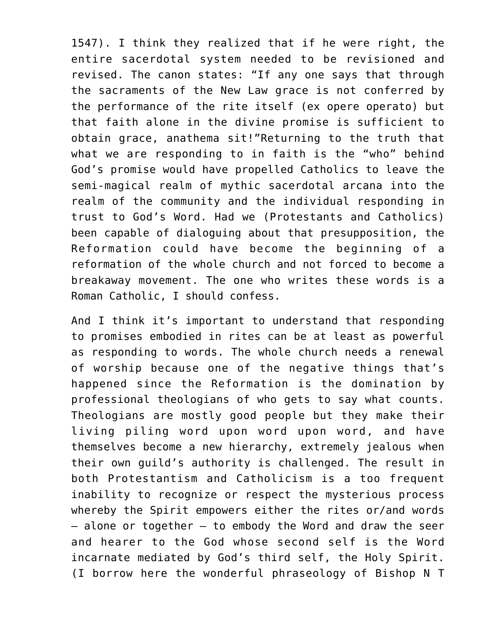1547). I think they realized that if he were right, the entire sacerdotal system needed to be revisioned and revised. The canon states: "If any one says that through the sacraments of the New Law grace is not conferred by the performance of the rite itself (ex opere operato) but that faith alone in the divine promise is sufficient to obtain grace, anathema sit!"Returning to the truth that what we are responding to in faith is the "who" behind God's promise would have propelled Catholics to leave the semi-magical realm of mythic sacerdotal arcana into the realm of the community and the individual responding in trust to God's Word. Had we (Protestants and Catholics) been capable of dialoguing about that presupposition, the Reformation could have become the beginning of a reformation of the whole church and not forced to become a breakaway movement. The one who writes these words is a Roman Catholic, I should confess.

And I think it's important to understand that responding to promises embodied in rites can be at least as powerful as responding to words. The whole church needs a renewal of worship because one of the negative things that's happened since the Reformation is the domination by professional theologians of who gets to say what counts. Theologians are mostly good people but they make their living piling word upon word upon word, and have themselves become a new hierarchy, extremely jealous when their own guild's authority is challenged. The result in both Protestantism and Catholicism is a too frequent inability to recognize or respect the mysterious process whereby the Spirit empowers either the rites or/and words  $-$  alone or together  $-$  to embody the Word and draw the seer and hearer to the God whose second self is the Word incarnate mediated by God's third self, the Holy Spirit. (I borrow here the wonderful phraseology of Bishop N T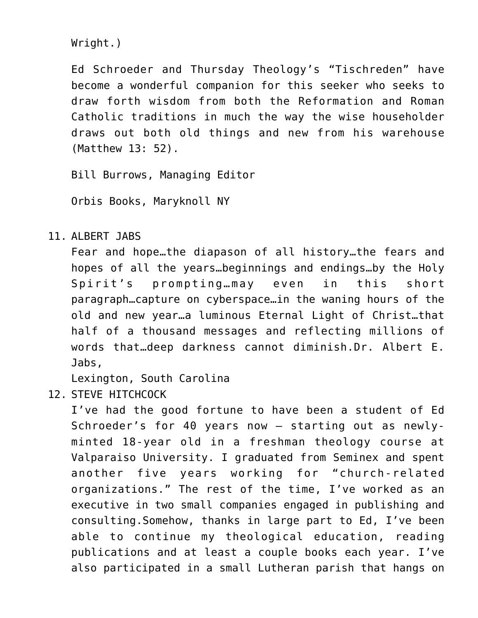Wright.)

Ed Schroeder and Thursday Theology's "Tischreden" have become a wonderful companion for this seeker who seeks to draw forth wisdom from both the Reformation and Roman Catholic traditions in much the way the wise householder draws out both old things and new from his warehouse (Matthew 13: 52).

Bill Burrows, Managing Editor

Orbis Books, Maryknoll NY

11. ALBERT JABS

Fear and hope…the diapason of all history…the fears and hopes of all the years…beginnings and endings…by the Holy Spirit's prompting…may even in this short paragraph…capture on cyberspace…in the waning hours of the old and new year…a luminous Eternal Light of Christ…that half of a thousand messages and reflecting millions of words that…deep darkness cannot diminish.Dr. Albert E. Jabs,

Lexington, South Carolina

12. STEVE HITCHCOCK

I've had the good fortune to have been a student of Ed Schroeder's for 40 years now – starting out as newlyminted 18-year old in a freshman theology course at Valparaiso University. I graduated from Seminex and spent another five years working for "church-related organizations." The rest of the time, I've worked as an executive in two small companies engaged in publishing and consulting.Somehow, thanks in large part to Ed, I've been able to continue my theological education, reading publications and at least a couple books each year. I've also participated in a small Lutheran parish that hangs on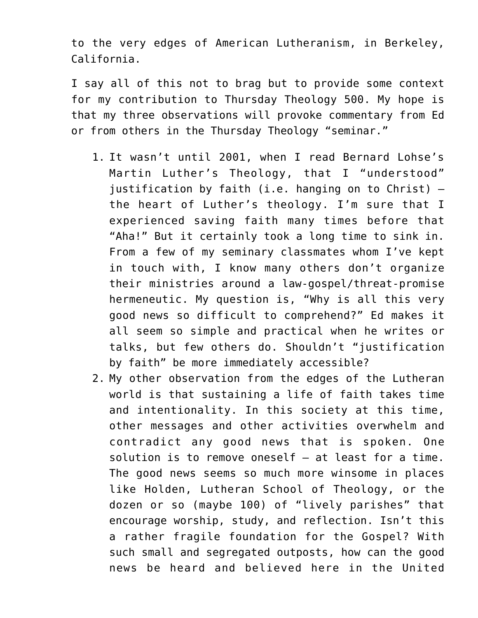to the very edges of American Lutheranism, in Berkeley, California.

I say all of this not to brag but to provide some context for my contribution to Thursday Theology 500. My hope is that my three observations will provoke commentary from Ed or from others in the Thursday Theology "seminar."

- 1. It wasn't until 2001, when I read Bernard Lohse's Martin Luther's Theology, that I "understood" justification by faith (i.e. hanging on to Christ) – the heart of Luther's theology. I'm sure that I experienced saving faith many times before that "Aha!" But it certainly took a long time to sink in. From a few of my seminary classmates whom I've kept in touch with, I know many others don't organize their ministries around a law-gospel/threat-promise hermeneutic. My question is, "Why is all this very good news so difficult to comprehend?" Ed makes it all seem so simple and practical when he writes or talks, but few others do. Shouldn't "justification by faith" be more immediately accessible?
- 2. My other observation from the edges of the Lutheran world is that sustaining a life of faith takes time and intentionality. In this society at this time, other messages and other activities overwhelm and contradict any good news that is spoken. One solution is to remove oneself – at least for a time. The good news seems so much more winsome in places like Holden, Lutheran School of Theology, or the dozen or so (maybe 100) of "lively parishes" that encourage worship, study, and reflection. Isn't this a rather fragile foundation for the Gospel? With such small and segregated outposts, how can the good news be heard and believed here in the United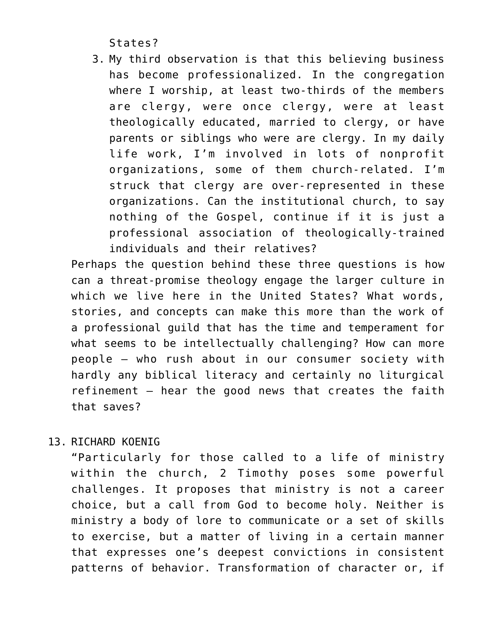States?

3. My third observation is that this believing business has become professionalized. In the congregation where I worship, at least two-thirds of the members are clergy, were once clergy, were at least theologically educated, married to clergy, or have parents or siblings who were are clergy. In my daily life work, I'm involved in lots of nonprofit organizations, some of them church-related. I'm struck that clergy are over-represented in these organizations. Can the institutional church, to say nothing of the Gospel, continue if it is just a professional association of theologically-trained individuals and their relatives?

Perhaps the question behind these three questions is how can a threat-promise theology engage the larger culture in which we live here in the United States? What words, stories, and concepts can make this more than the work of a professional guild that has the time and temperament for what seems to be intellectually challenging? How can more people – who rush about in our consumer society with hardly any biblical literacy and certainly no liturgical refinement – hear the good news that creates the faith that saves?

13. RICHARD KOENIG

"Particularly for those called to a life of ministry within the church, 2 Timothy poses some powerful challenges. It proposes that ministry is not a career choice, but a call from God to become holy. Neither is ministry a body of lore to communicate or a set of skills to exercise, but a matter of living in a certain manner that expresses one's deepest convictions in consistent patterns of behavior. Transformation of character or, if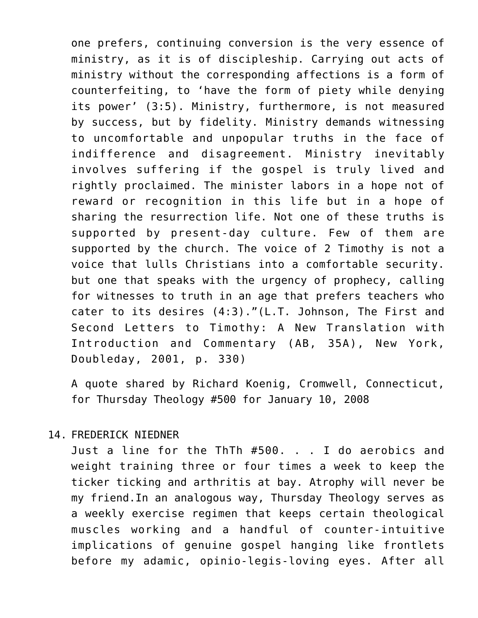one prefers, continuing conversion is the very essence of ministry, as it is of discipleship. Carrying out acts of ministry without the corresponding affections is a form of counterfeiting, to 'have the form of piety while denying its power' (3:5). Ministry, furthermore, is not measured by success, but by fidelity. Ministry demands witnessing to uncomfortable and unpopular truths in the face of indifference and disagreement. Ministry inevitably involves suffering if the gospel is truly lived and rightly proclaimed. The minister labors in a hope not of reward or recognition in this life but in a hope of sharing the resurrection life. Not one of these truths is supported by present-day culture. Few of them are supported by the church. The voice of 2 Timothy is not a voice that lulls Christians into a comfortable security. but one that speaks with the urgency of prophecy, calling for witnesses to truth in an age that prefers teachers who cater to its desires (4:3)."(L.T. Johnson, The First and Second Letters to Timothy: A New Translation with Introduction and Commentary (AB, 35A), New York, Doubleday, 2001, p. 330)

A quote shared by Richard Koenig, Cromwell, Connecticut, for Thursday Theology #500 for January 10, 2008

## 14. FREDERICK NIEDNER

Just a line for the ThTh #500. . . I do aerobics and weight training three or four times a week to keep the ticker ticking and arthritis at bay. Atrophy will never be my friend.In an analogous way, Thursday Theology serves as a weekly exercise regimen that keeps certain theological muscles working and a handful of counter-intuitive implications of genuine gospel hanging like frontlets before my adamic, opinio-legis-loving eyes. After all